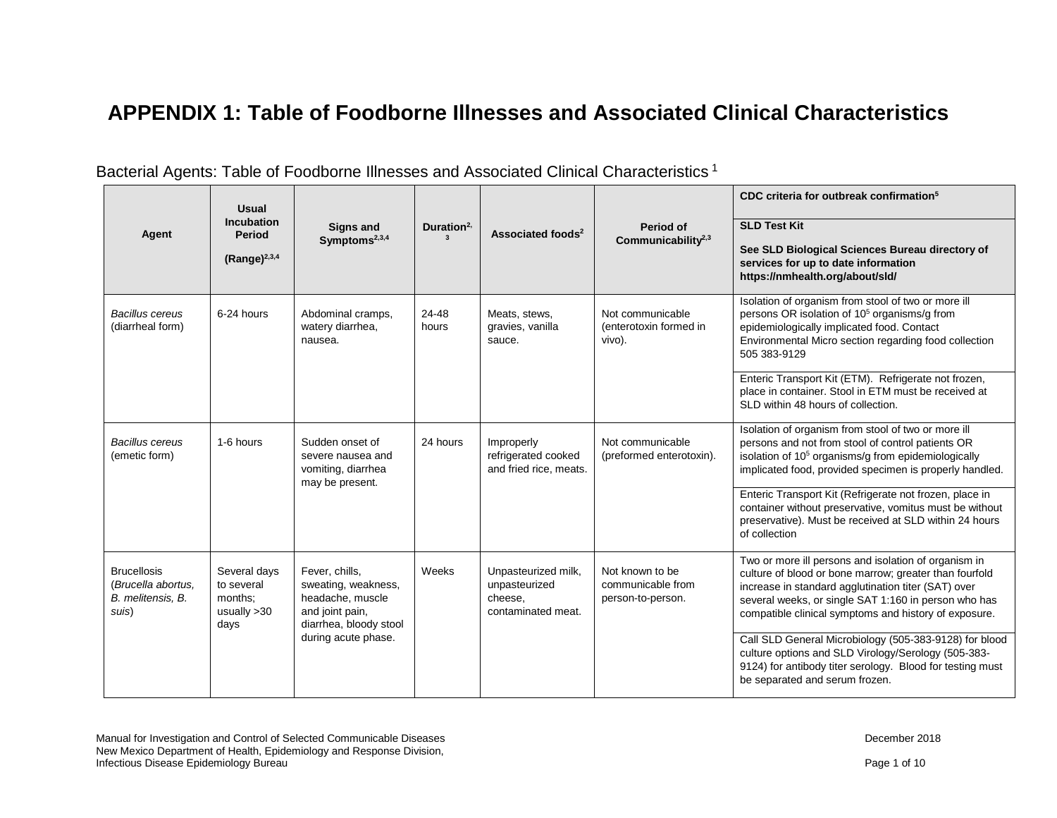## **APPENDIX 1: Table of Foodborne Illnesses and Associated Clinical Characteristics**

|                                                                        | <b>Usual</b><br><b>Incubation</b>                              |                                                                                                                               |                                |                                                                       |                                                           | CDC criteria for outbreak confirmation <sup>5</sup>                                                                                                                                                                                                                                    |
|------------------------------------------------------------------------|----------------------------------------------------------------|-------------------------------------------------------------------------------------------------------------------------------|--------------------------------|-----------------------------------------------------------------------|-----------------------------------------------------------|----------------------------------------------------------------------------------------------------------------------------------------------------------------------------------------------------------------------------------------------------------------------------------------|
| Agent                                                                  | <b>Period</b><br>(Range) $^{2,3,4}$                            | <b>Signs and</b><br>Symptoms <sup>2,3,4</sup>                                                                                 | Duration $2$ ,<br>$\mathbf{3}$ | Associated foods <sup>2</sup>                                         | Period of<br>Communicability $2,3$                        | <b>SLD Test Kit</b><br>See SLD Biological Sciences Bureau directory of<br>services for up to date information<br>https://nmhealth.org/about/sld/                                                                                                                                       |
| <b>Bacillus cereus</b><br>(diarrheal form)                             | 6-24 hours                                                     | Abdominal cramps,<br>watery diarrhea,<br>nausea.                                                                              | 24-48<br>hours                 | Meats, stews,<br>gravies, vanilla<br>sauce.                           | Not communicable<br>(enterotoxin formed in<br>vivo).      | Isolation of organism from stool of two or more ill<br>persons OR isolation of 10 <sup>5</sup> organisms/g from<br>epidemiologically implicated food. Contact<br>Environmental Micro section regarding food collection<br>505 383-9129                                                 |
|                                                                        |                                                                |                                                                                                                               |                                |                                                                       |                                                           | Enteric Transport Kit (ETM). Refrigerate not frozen,<br>place in container. Stool in ETM must be received at<br>SLD within 48 hours of collection.                                                                                                                                     |
| <b>Bacillus cereus</b><br>(emetic form)                                | 1-6 hours                                                      | Sudden onset of<br>severe nausea and<br>vomiting, diarrhea<br>may be present.                                                 | 24 hours                       | Improperly<br>refrigerated cooked<br>and fried rice, meats.           | Not communicable<br>(preformed enterotoxin).              | Isolation of organism from stool of two or more ill<br>persons and not from stool of control patients OR<br>isolation of 10 <sup>5</sup> organisms/g from epidemiologically<br>implicated food, provided specimen is properly handled.                                                 |
|                                                                        |                                                                |                                                                                                                               |                                |                                                                       |                                                           | Enteric Transport Kit (Refrigerate not frozen, place in<br>container without preservative, vomitus must be without<br>preservative). Must be received at SLD within 24 hours<br>of collection                                                                                          |
| <b>Brucellosis</b><br>(Brucella abortus.<br>B. melitensis, B.<br>suis) | Several days<br>to several<br>months:<br>usually $>30$<br>days | Fever, chills,<br>sweating, weakness,<br>headache, muscle<br>and joint pain,<br>diarrhea, bloody stool<br>during acute phase. | Weeks                          | Unpasteurized milk,<br>unpasteurized<br>cheese,<br>contaminated meat. | Not known to be<br>communicable from<br>person-to-person. | Two or more ill persons and isolation of organism in<br>culture of blood or bone marrow; greater than fourfold<br>increase in standard agglutination titer (SAT) over<br>several weeks, or single SAT 1:160 in person who has<br>compatible clinical symptoms and history of exposure. |
|                                                                        |                                                                |                                                                                                                               |                                |                                                                       |                                                           | Call SLD General Microbiology (505-383-9128) for blood<br>culture options and SLD Virology/Serology (505-383-<br>9124) for antibody titer serology. Blood for testing must<br>be separated and serum frozen.                                                                           |

## Bacterial Agents: Table of Foodborne Illnesses and Associated Clinical Characteristics <sup>1</sup>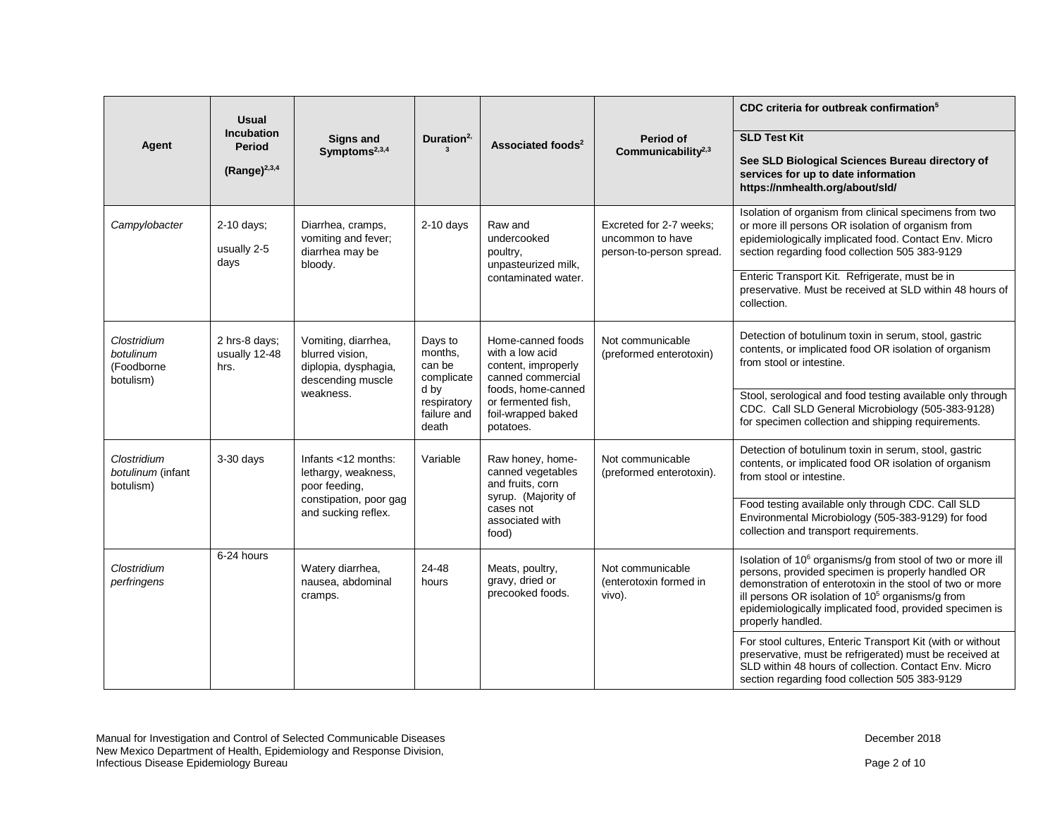|                                                     | <b>Usual</b>                                                                                                               |                                                                                                              |                                                                                                                           |                                                                                                                                 | Period of<br>Communicability <sup>2,3</sup>                                                                                                                                                                            | CDC criteria for outbreak confirmation <sup>5</sup>                                                                                                                                                                                                                                                                           |                                                                                                                                            |
|-----------------------------------------------------|----------------------------------------------------------------------------------------------------------------------------|--------------------------------------------------------------------------------------------------------------|---------------------------------------------------------------------------------------------------------------------------|---------------------------------------------------------------------------------------------------------------------------------|------------------------------------------------------------------------------------------------------------------------------------------------------------------------------------------------------------------------|-------------------------------------------------------------------------------------------------------------------------------------------------------------------------------------------------------------------------------------------------------------------------------------------------------------------------------|--------------------------------------------------------------------------------------------------------------------------------------------|
| Agent                                               | <b>Incubation</b><br><b>Period</b>                                                                                         | <b>Signs and</b><br>Symptoms <sup>2,3,4</sup>                                                                | Duration $2$ ,                                                                                                            | Associated foods <sup>2</sup>                                                                                                   |                                                                                                                                                                                                                        | <b>SLD Test Kit</b>                                                                                                                                                                                                                                                                                                           |                                                                                                                                            |
|                                                     | $(Range)^{2,3,4}$                                                                                                          |                                                                                                              |                                                                                                                           |                                                                                                                                 |                                                                                                                                                                                                                        | See SLD Biological Sciences Bureau directory of<br>services for up to date information<br>https://nmhealth.org/about/sld/                                                                                                                                                                                                     |                                                                                                                                            |
| Campylobacter                                       | 2-10 days;<br>Diarrhea, cramps,<br>$2-10$ days<br>vomiting and fever;<br>usually 2-5<br>diarrhea may be<br>days<br>bloody. |                                                                                                              | Raw and<br>undercooked<br>poultry,<br>unpasteurized milk,                                                                 | Excreted for 2-7 weeks:<br>uncommon to have<br>person-to-person spread.                                                         | Isolation of organism from clinical specimens from two<br>or more ill persons OR isolation of organism from<br>epidemiologically implicated food. Contact Env. Micro<br>section regarding food collection 505 383-9129 |                                                                                                                                                                                                                                                                                                                               |                                                                                                                                            |
|                                                     |                                                                                                                            |                                                                                                              | contaminated water.                                                                                                       |                                                                                                                                 | Enteric Transport Kit. Refrigerate, must be in<br>preservative. Must be received at SLD within 48 hours of<br>collection.                                                                                              |                                                                                                                                                                                                                                                                                                                               |                                                                                                                                            |
| Clostridium<br>botulinum<br>(Foodborne<br>botulism) | 2 hrs-8 days;<br>usually 12-48<br>hrs.                                                                                     | Vomiting, diarrhea,<br>blurred vision,<br>diplopia, dysphagia,<br>descending muscle                          | Days to<br>months.<br>with a low acid<br>can be<br>complicate<br>d by<br>respiratory<br>failure and<br>death<br>potatoes. | Home-canned foods<br>content, improperly<br>canned commercial<br>foods, home-canned<br>or fermented fish,<br>foil-wrapped baked |                                                                                                                                                                                                                        | Not communicable<br>(preformed enterotoxin)                                                                                                                                                                                                                                                                                   | Detection of botulinum toxin in serum, stool, gastric<br>contents, or implicated food OR isolation of organism<br>from stool or intestine. |
|                                                     | weakness.                                                                                                                  |                                                                                                              |                                                                                                                           |                                                                                                                                 |                                                                                                                                                                                                                        | Stool, serological and food testing available only through<br>CDC. Call SLD General Microbiology (505-383-9128)<br>for specimen collection and shipping requirements.                                                                                                                                                         |                                                                                                                                            |
| Clostridium<br>botulinum (infant<br>botulism)       | 3-30 days                                                                                                                  | Infants <12 months:<br>lethargy, weakness,<br>poor feeding,<br>constipation, poor gag<br>and sucking reflex. | Variable                                                                                                                  | Raw honey, home-<br>canned vegetables<br>and fruits, corn<br>syrup. (Majority of<br>cases not<br>associated with<br>food)       | Not communicable<br>(preformed enterotoxin).                                                                                                                                                                           | Detection of botulinum toxin in serum, stool, gastric<br>contents, or implicated food OR isolation of organism<br>from stool or intestine.                                                                                                                                                                                    |                                                                                                                                            |
|                                                     |                                                                                                                            |                                                                                                              |                                                                                                                           |                                                                                                                                 |                                                                                                                                                                                                                        | Food testing available only through CDC. Call SLD<br>Environmental Microbiology (505-383-9129) for food<br>collection and transport requirements.                                                                                                                                                                             |                                                                                                                                            |
| Clostridium<br>perfringens                          | 6-24 hours                                                                                                                 | Watery diarrhea,<br>nausea, abdominal<br>cramps.                                                             | 24-48<br>hours                                                                                                            | Meats, poultry,<br>gravy, dried or<br>precooked foods.                                                                          | Not communicable<br>(enterotoxin formed in<br>vivo).                                                                                                                                                                   | Isolation of 10 <sup>6</sup> organisms/g from stool of two or more ill<br>persons, provided specimen is properly handled OR<br>demonstration of enterotoxin in the stool of two or more<br>ill persons OR isolation of $105$ organisms/g from<br>epidemiologically implicated food, provided specimen is<br>properly handled. |                                                                                                                                            |
|                                                     |                                                                                                                            |                                                                                                              |                                                                                                                           |                                                                                                                                 |                                                                                                                                                                                                                        | For stool cultures, Enteric Transport Kit (with or without<br>preservative, must be refrigerated) must be received at<br>SLD within 48 hours of collection. Contact Env. Micro<br>section regarding food collection 505 383-9129                                                                                              |                                                                                                                                            |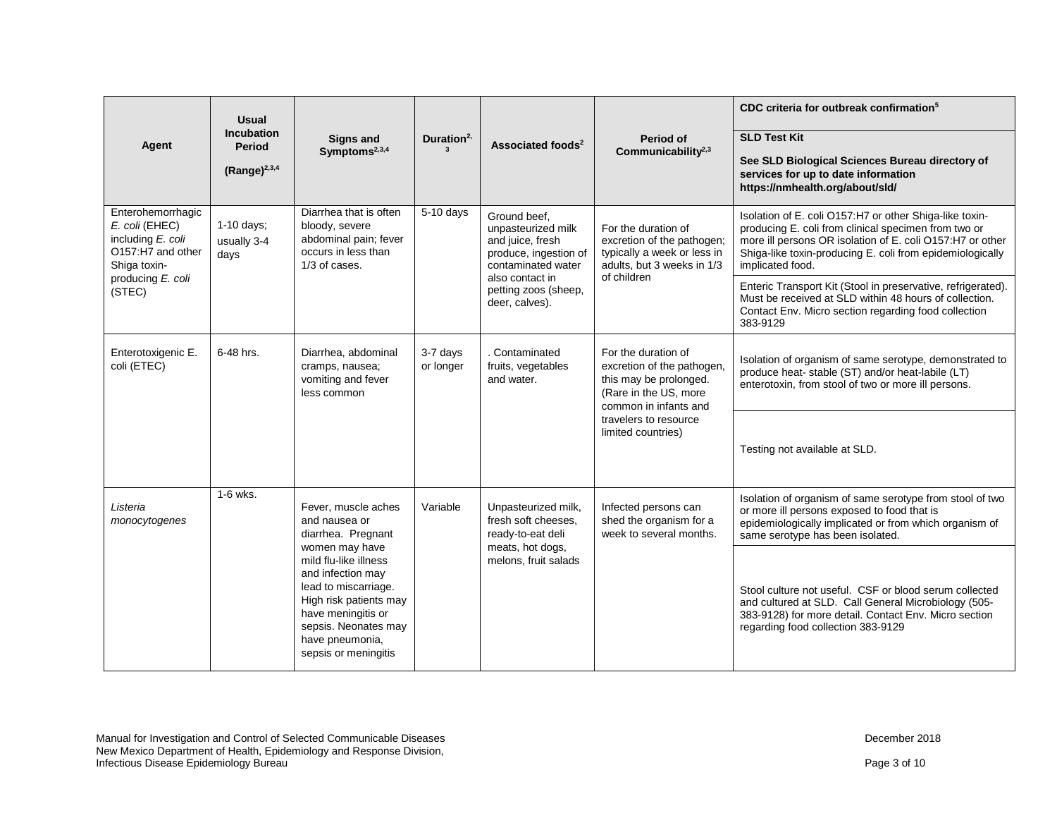| Agent                                                                                                              | <b>Usual</b><br><b>Incubation</b><br><b>Period</b><br>$(Range)^{2,3,4}$ | Signs and<br>Symptoms <sup>2,3,4</sup>                                                                                                                                                                                             | Duration $2$ ,                                      | Associated foods <sup>2</sup>                                                                                                                                       | Period of<br>Communicability $2,3$                                                                                            | CDC criteria for outbreak confirmation <sup>5</sup><br><b>SLD Test Kit</b><br>See SLD Biological Sciences Bureau directory of<br>services for up to date information<br>https://nmhealth.org/about/sld/                                                       |
|--------------------------------------------------------------------------------------------------------------------|-------------------------------------------------------------------------|------------------------------------------------------------------------------------------------------------------------------------------------------------------------------------------------------------------------------------|-----------------------------------------------------|---------------------------------------------------------------------------------------------------------------------------------------------------------------------|-------------------------------------------------------------------------------------------------------------------------------|---------------------------------------------------------------------------------------------------------------------------------------------------------------------------------------------------------------------------------------------------------------|
| Enterohemorrhagic<br>E. coli (EHEC)<br>including E. coli<br>O157:H7 and other<br>Shiga toxin-<br>producing E. coli | $1-10$ days;<br>usually 3-4<br>days                                     | Diarrhea that is often<br>bloody, severe<br>abdominal pain; fever<br>occurs in less than<br>$1/3$ of cases.                                                                                                                        | $5-10$ days                                         | Ground beef.<br>unpasteurized milk<br>and juice, fresh<br>produce, ingestion of<br>contaminated water<br>also contact in<br>petting zoos (sheep,<br>deer, calves).  | For the duration of<br>excretion of the pathogen;<br>typically a week or less in<br>adults, but 3 weeks in 1/3<br>of children | Isolation of E. coli O157:H7 or other Shiga-like toxin-<br>producing E. coli from clinical specimen from two or<br>more ill persons OR isolation of E. coli O157:H7 or other<br>Shiga-like toxin-producing E. coli from epidemiologically<br>implicated food. |
| (STEC)                                                                                                             |                                                                         |                                                                                                                                                                                                                                    |                                                     |                                                                                                                                                                     |                                                                                                                               | Enteric Transport Kit (Stool in preservative, refrigerated).<br>Must be received at SLD within 48 hours of collection.<br>Contact Env. Micro section regarding food collection<br>383-9129                                                                    |
| Enterotoxigenic E.<br>coli (ETEC)                                                                                  | 6-48 hrs.                                                               | Contaminated<br>Diarrhea, abdominal<br>3-7 days<br>For the duration of<br>fruits, vegetables<br>cramps, nausea;<br>or longer<br>this may be prolonged.<br>vomiting and fever<br>and water.<br>(Rare in the US, more<br>less common | excretion of the pathogen,<br>common in infants and | Isolation of organism of same serotype, demonstrated to<br>produce heat- stable (ST) and/or heat-labile (LT)<br>enterotoxin, from stool of two or more ill persons. |                                                                                                                               |                                                                                                                                                                                                                                                               |
|                                                                                                                    |                                                                         |                                                                                                                                                                                                                                    |                                                     |                                                                                                                                                                     | travelers to resource<br>limited countries)                                                                                   | Testing not available at SLD.                                                                                                                                                                                                                                 |
| Listeria<br>monocytogenes                                                                                          | 1-6 wks.                                                                | Fever, muscle aches<br>and nausea or<br>diarrhea. Pregnant                                                                                                                                                                         | Variable                                            | Unpasteurized milk,<br>fresh soft cheeses.<br>ready-to-eat deli                                                                                                     | Infected persons can<br>shed the organism for a<br>week to several months.                                                    | Isolation of organism of same serotype from stool of two<br>or more ill persons exposed to food that is<br>epidemiologically implicated or from which organism of<br>same serotype has been isolated.                                                         |
|                                                                                                                    |                                                                         | women may have<br>mild flu-like illness<br>and infection may<br>lead to miscarriage.<br>High risk patients may<br>have meningitis or<br>sepsis. Neonates may<br>have pneumonia,<br>sepsis or meningitis                            |                                                     | meats, hot dogs,<br>melons, fruit salads                                                                                                                            |                                                                                                                               | Stool culture not useful. CSF or blood serum collected<br>and cultured at SLD. Call General Microbiology (505-<br>383-9128) for more detail. Contact Env. Micro section<br>regarding food collection 383-9129                                                 |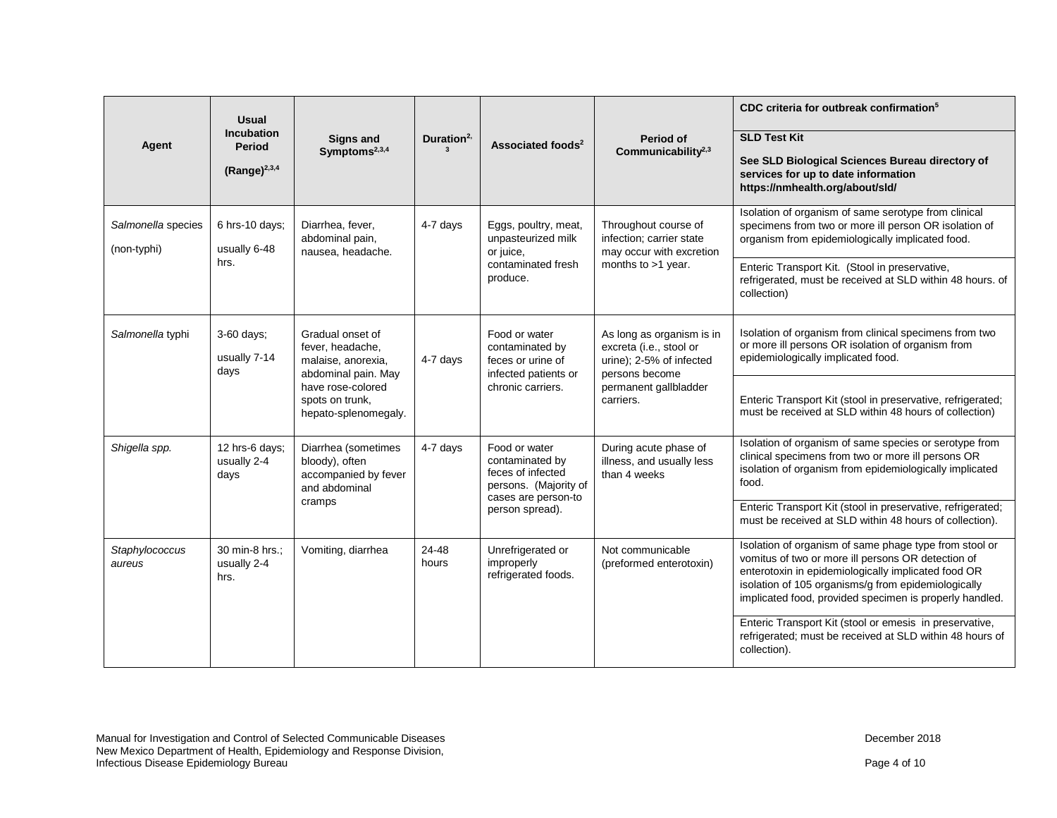| Agent                             | <b>Usual</b><br><b>Incubation</b><br><b>Period</b><br>(Range) $^{2,3,4}$ | <b>Signs and</b><br>Symptoms <sup>2,3,4</sup>                                                                                                     | Duration <sup>2,</sup> | Associated foods <sup>2</sup>                                                                                            | Period of<br>Communicability $2,3$                                                                                                       | CDC criteria for outbreak confirmation <sup>5</sup><br><b>SLD Test Kit</b><br>See SLD Biological Sciences Bureau directory of<br>services for up to date information<br>https://nmhealth.org/about/sld/                                                                                                                                                                                                                      |
|-----------------------------------|--------------------------------------------------------------------------|---------------------------------------------------------------------------------------------------------------------------------------------------|------------------------|--------------------------------------------------------------------------------------------------------------------------|------------------------------------------------------------------------------------------------------------------------------------------|------------------------------------------------------------------------------------------------------------------------------------------------------------------------------------------------------------------------------------------------------------------------------------------------------------------------------------------------------------------------------------------------------------------------------|
| Salmonella species<br>(non-typhi) | 6 hrs-10 days;<br>usually 6-48<br>hrs.                                   | Diarrhea, fever,<br>abdominal pain,<br>nausea, headache.                                                                                          | 4-7 days               | Eggs, poultry, meat,<br>unpasteurized milk<br>or juice,<br>contaminated fresh<br>produce.                                | Throughout course of<br>infection; carrier state<br>may occur with excretion<br>months to $>1$ year.                                     | Isolation of organism of same serotype from clinical<br>specimens from two or more ill person OR isolation of<br>organism from epidemiologically implicated food.<br>Enteric Transport Kit. (Stool in preservative,<br>refrigerated, must be received at SLD within 48 hours. of<br>collection)                                                                                                                              |
| Salmonella typhi                  | 3-60 days;<br>usually 7-14<br>days                                       | Gradual onset of<br>fever, headache,<br>malaise, anorexia,<br>abdominal pain. May<br>have rose-colored<br>spots on trunk,<br>hepato-splenomegaly. | 4-7 days               | Food or water<br>contaminated by<br>feces or urine of<br>infected patients or<br>chronic carriers.                       | As long as organism is in<br>excreta (i.e., stool or<br>urine); 2-5% of infected<br>persons become<br>permanent gallbladder<br>carriers. | Isolation of organism from clinical specimens from two<br>or more ill persons OR isolation of organism from<br>epidemiologically implicated food.<br>Enteric Transport Kit (stool in preservative, refrigerated;<br>must be received at SLD within 48 hours of collection)                                                                                                                                                   |
| Shigella spp.                     | 12 hrs-6 days;<br>usually 2-4<br>days                                    | Diarrhea (sometimes<br>bloody), often<br>accompanied by fever<br>and abdominal<br>cramps                                                          | 4-7 days               | Food or water<br>contaminated by<br>feces of infected<br>persons. (Majority of<br>cases are person-to<br>person spread). | During acute phase of<br>illness, and usually less<br>than 4 weeks                                                                       | Isolation of organism of same species or serotype from<br>clinical specimens from two or more ill persons OR<br>isolation of organism from epidemiologically implicated<br>food.<br>Enteric Transport Kit (stool in preservative, refrigerated;<br>must be received at SLD within 48 hours of collection).                                                                                                                   |
| Staphylococcus<br>aureus          | 30 min-8 hrs.;<br>usually 2-4<br>hrs.                                    | Vomiting, diarrhea                                                                                                                                | 24-48<br>hours         | Unrefrigerated or<br>improperly<br>refrigerated foods.                                                                   | Not communicable<br>(preformed enterotoxin)                                                                                              | Isolation of organism of same phage type from stool or<br>vomitus of two or more ill persons OR detection of<br>enterotoxin in epidemiologically implicated food OR<br>isolation of 105 organisms/g from epidemiologically<br>implicated food, provided specimen is properly handled.<br>Enteric Transport Kit (stool or emesis in preservative,<br>refrigerated; must be received at SLD within 48 hours of<br>collection). |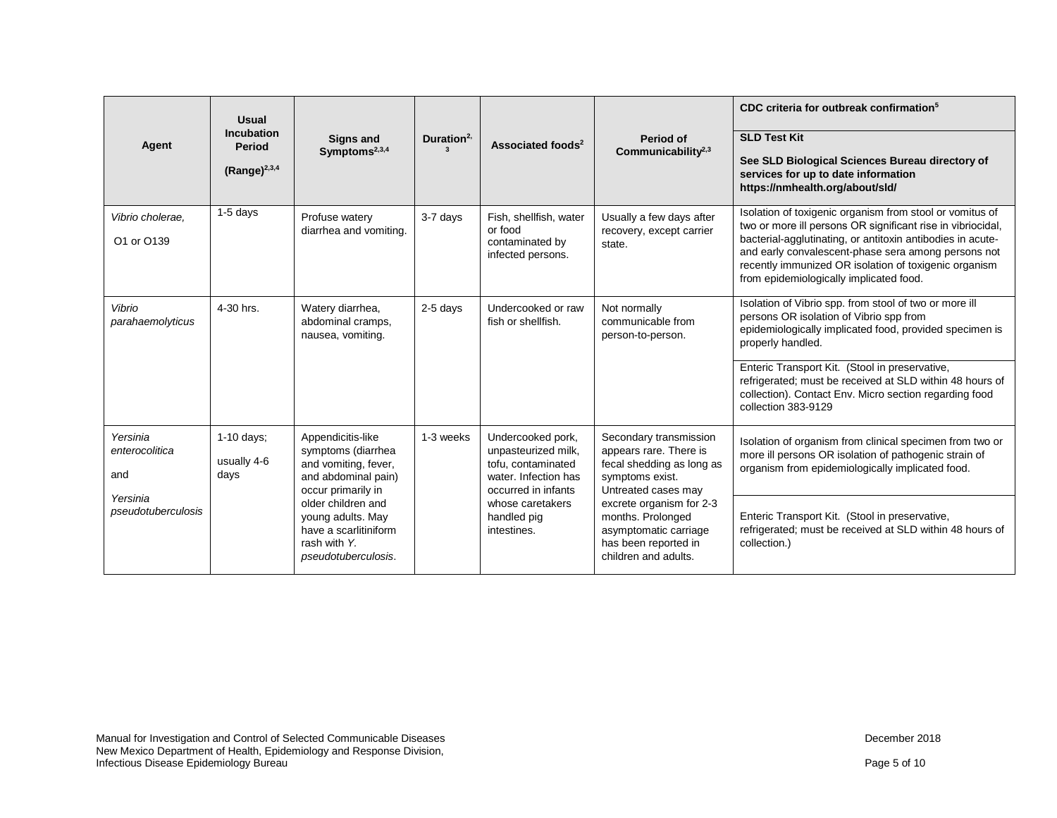| Agent                                                               | <b>Usual</b><br>Incubation<br>Period<br>(Range) $^{2,3,4}$ | <b>Signs and</b><br>Symptoms $2,3,4$                                                                                               | Duration $2$ ,<br>$\mathbf{3}$ | Associated foods <sup>2</sup>                                                                                                     | Period of<br>Communicability <sup>2,3</sup>                                                                                                         | CDC criteria for outbreak confirmation <sup>5</sup><br><b>SLD Test Kit</b><br>See SLD Biological Sciences Bureau directory of<br>services for up to date information<br>https://nmhealth.org/about/sld/                                                                                                                                                                          |
|---------------------------------------------------------------------|------------------------------------------------------------|------------------------------------------------------------------------------------------------------------------------------------|--------------------------------|-----------------------------------------------------------------------------------------------------------------------------------|-----------------------------------------------------------------------------------------------------------------------------------------------------|----------------------------------------------------------------------------------------------------------------------------------------------------------------------------------------------------------------------------------------------------------------------------------------------------------------------------------------------------------------------------------|
| Vibrio cholerae.<br>O1 or O139                                      | $1-5$ days                                                 | Profuse watery<br>diarrhea and vomiting.                                                                                           | 3-7 days                       | Fish, shellfish, water<br>or food<br>contaminated by<br>infected persons.                                                         | Usually a few days after<br>recovery, except carrier<br>state.                                                                                      | Isolation of toxigenic organism from stool or vomitus of<br>two or more ill persons OR significant rise in vibriocidal,<br>bacterial-agglutinating, or antitoxin antibodies in acute-<br>and early convalescent-phase sera among persons not<br>recently immunized OR isolation of toxigenic organism<br>from epidemiologically implicated food.                                 |
| Vibrio<br>parahaemolyticus                                          | 4-30 hrs.                                                  | Watery diarrhea,<br>abdominal cramps,<br>nausea, vomiting.                                                                         | 2-5 days                       | Undercooked or raw<br>fish or shellfish.                                                                                          | Not normally<br>communicable from<br>person-to-person.                                                                                              | Isolation of Vibrio spp. from stool of two or more ill<br>persons OR isolation of Vibrio spp from<br>epidemiologically implicated food, provided specimen is<br>properly handled.<br>Enteric Transport Kit. (Stool in preservative,<br>refrigerated; must be received at SLD within 48 hours of<br>collection). Contact Env. Micro section regarding food<br>collection 383-9129 |
| Yersinia<br>enterocolitica<br>and<br>Yersinia<br>pseudotuberculosis | 1-10 days;<br>usually 4-6<br>days                          | Appendicitis-like<br>symptoms (diarrhea<br>and vomiting, fever,<br>and abdominal pain)<br>occur primarily in<br>older children and | 1-3 weeks                      | Undercooked pork,<br>unpasteurized milk,<br>tofu, contaminated<br>water. Infection has<br>occurred in infants<br>whose caretakers | Secondary transmission<br>appears rare. There is<br>fecal shedding as long as<br>symptoms exist.<br>Untreated cases may<br>excrete organism for 2-3 | Isolation of organism from clinical specimen from two or<br>more ill persons OR isolation of pathogenic strain of<br>organism from epidemiologically implicated food.                                                                                                                                                                                                            |
|                                                                     |                                                            | young adults. May<br>have a scarlitiniform<br>rash with Y.<br>pseudotuberculosis.                                                  |                                | handled pig<br>intestines.                                                                                                        | months. Prolonged<br>asymptomatic carriage<br>has been reported in<br>children and adults.                                                          | Enteric Transport Kit. (Stool in preservative,<br>refrigerated; must be received at SLD within 48 hours of<br>collection.)                                                                                                                                                                                                                                                       |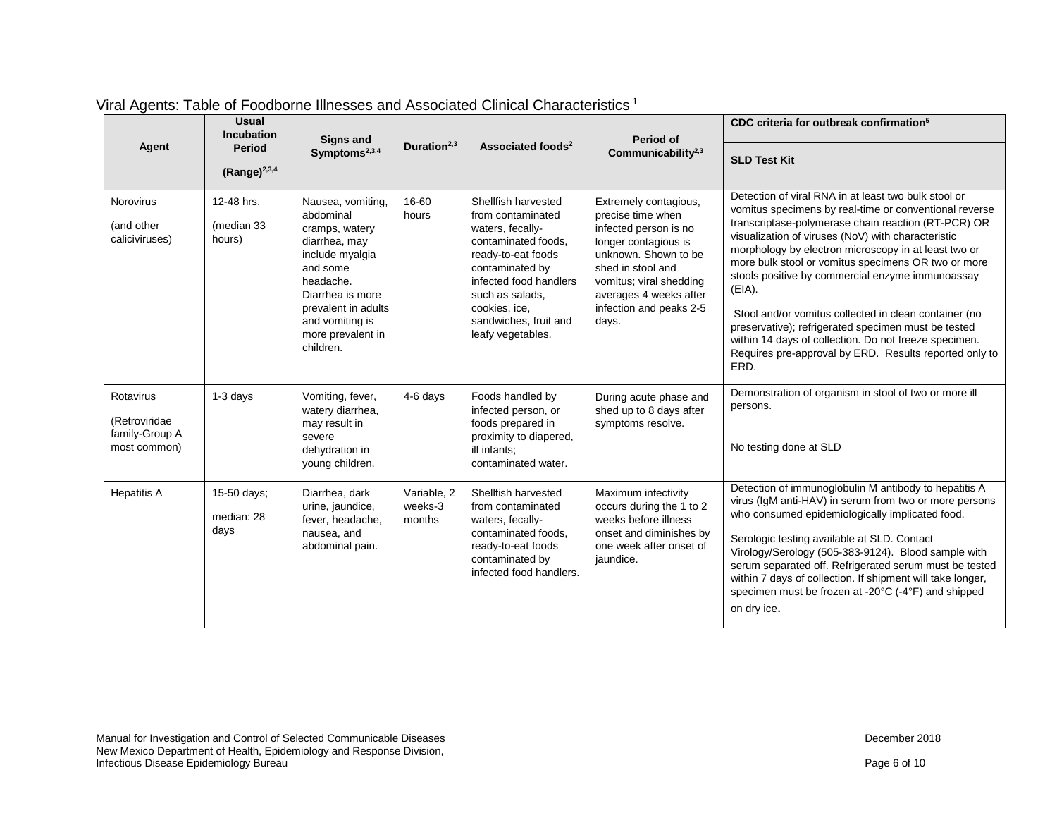|                                                  | <b>Usual</b><br><b>Incubation</b>  | Signs and                                                                                                                         | Duration $2,3$                                                                             |                                                                                                                                                                                                                                          | Period of                                                                                                                                                                                                                         | CDC criteria for outbreak confirmation <sup>5</sup>                                                                                                                                                                                                                                                                                                                                                      |
|--------------------------------------------------|------------------------------------|-----------------------------------------------------------------------------------------------------------------------------------|--------------------------------------------------------------------------------------------|------------------------------------------------------------------------------------------------------------------------------------------------------------------------------------------------------------------------------------------|-----------------------------------------------------------------------------------------------------------------------------------------------------------------------------------------------------------------------------------|----------------------------------------------------------------------------------------------------------------------------------------------------------------------------------------------------------------------------------------------------------------------------------------------------------------------------------------------------------------------------------------------------------|
| Agent                                            | <b>Period</b><br>$(Range)^{2,3,4}$ | Symptoms <sup>2,3,4</sup>                                                                                                         |                                                                                            | Associated foods <sup>2</sup>                                                                                                                                                                                                            | Communicability <sup>2,3</sup>                                                                                                                                                                                                    | <b>SLD Test Kit</b>                                                                                                                                                                                                                                                                                                                                                                                      |
| <b>Norovirus</b><br>(and other<br>caliciviruses) | 12-48 hrs.<br>(median 33<br>hours) | Nausea, vomiting,<br>abdominal<br>cramps, watery<br>diarrhea, may<br>include myalgia<br>and some<br>headache.<br>Diarrhea is more | 16-60<br>hours<br>prevalent in adults<br>and vomiting is<br>more prevalent in<br>children. | Shellfish harvested<br>from contaminated<br>waters, fecally-<br>contaminated foods,<br>ready-to-eat foods<br>contaminated by<br>infected food handlers<br>such as salads.<br>cookies, ice,<br>sandwiches, fruit and<br>leafy vegetables. | Extremely contagious,<br>precise time when<br>infected person is no<br>longer contagious is<br>unknown. Shown to be<br>shed in stool and<br>vomitus; viral shedding<br>averages 4 weeks after<br>infection and peaks 2-5<br>days. | Detection of viral RNA in at least two bulk stool or<br>vomitus specimens by real-time or conventional reverse<br>transcriptase-polymerase chain reaction (RT-PCR) OR<br>visualization of viruses (NoV) with characteristic<br>morphology by electron microscopy in at least two or<br>more bulk stool or vomitus specimens OR two or more<br>stools positive by commercial enzyme immunoassay<br>(EIA). |
|                                                  |                                    |                                                                                                                                   |                                                                                            |                                                                                                                                                                                                                                          |                                                                                                                                                                                                                                   | Stool and/or vomitus collected in clean container (no<br>preservative); refrigerated specimen must be tested<br>within 14 days of collection. Do not freeze specimen.<br>Requires pre-approval by ERD. Results reported only to<br>ERD.                                                                                                                                                                  |
| Rotavirus<br>(Retroviridae                       | 1-3 days                           | Vomiting, fever,<br>watery diarrhea,<br>may result in                                                                             | 4-6 days                                                                                   | Foods handled by<br>infected person, or                                                                                                                                                                                                  | During acute phase and<br>shed up to 8 days after<br>symptoms resolve.                                                                                                                                                            | Demonstration of organism in stool of two or more ill<br>persons.                                                                                                                                                                                                                                                                                                                                        |
| family-Group A<br>most common)                   |                                    | severe<br>dehydration in<br>young children.                                                                                       |                                                                                            | foods prepared in<br>proximity to diapered,<br>ill infants:<br>contaminated water.                                                                                                                                                       |                                                                                                                                                                                                                                   | No testing done at SLD                                                                                                                                                                                                                                                                                                                                                                                   |
| <b>Hepatitis A</b>                               | 15-50 days;<br>median: 28<br>days  | Diarrhea, dark<br>urine, jaundice,<br>fever, headache,<br>nausea, and<br>abdominal pain.                                          | Variable, 2<br>weeks-3<br>months                                                           | Shellfish harvested<br>from contaminated<br>waters, fecally-<br>contaminated foods,<br>ready-to-eat foods<br>contaminated by<br>infected food handlers.                                                                                  | Maximum infectivity<br>occurs during the 1 to 2<br>weeks before illness<br>onset and diminishes by<br>one week after onset of<br>jaundice.                                                                                        | Detection of immunoglobulin M antibody to hepatitis A<br>virus (IgM anti-HAV) in serum from two or more persons<br>who consumed epidemiologically implicated food.                                                                                                                                                                                                                                       |
|                                                  |                                    |                                                                                                                                   |                                                                                            |                                                                                                                                                                                                                                          |                                                                                                                                                                                                                                   | Serologic testing available at SLD. Contact<br>Virology/Serology (505-383-9124). Blood sample with<br>serum separated off. Refrigerated serum must be tested<br>within 7 days of collection. If shipment will take longer,<br>specimen must be frozen at -20°C (-4°F) and shipped<br>on dry ice.                                                                                                         |

## Viral Agents: Table of Foodborne Illnesses and Associated Clinical Characteristics <sup>1</sup>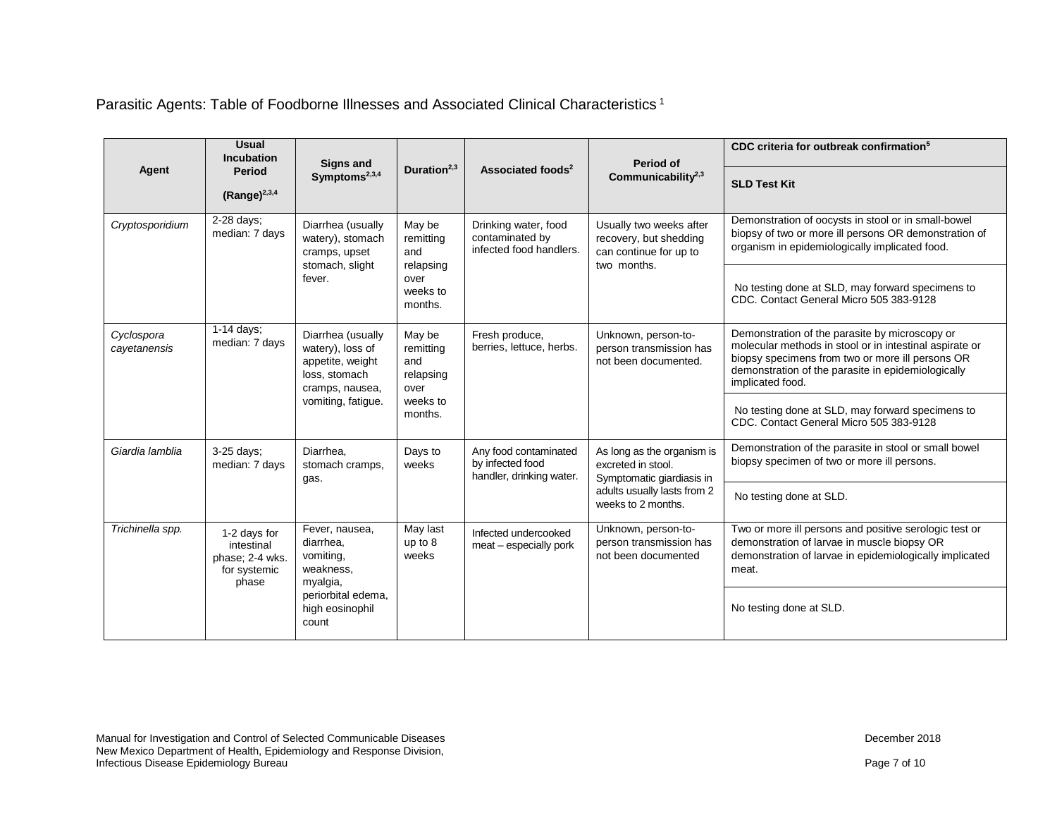Parasitic Agents: Table of Foodborne Illnesses and Associated Clinical Characteristics <sup>1</sup>

|                            | <b>Usual</b><br><b>Incubation</b>                                      | <b>Signs and</b>                                                                                                                                    | Duration $2,3$                                  |                                                                       | Period of<br>Communicability $2,3$                                                         | CDC criteria for outbreak confirmation <sup>5</sup>                                                                                                                                                                                     |
|----------------------------|------------------------------------------------------------------------|-----------------------------------------------------------------------------------------------------------------------------------------------------|-------------------------------------------------|-----------------------------------------------------------------------|--------------------------------------------------------------------------------------------|-----------------------------------------------------------------------------------------------------------------------------------------------------------------------------------------------------------------------------------------|
| Agent                      | <b>Period</b><br>$(Range)^{2,3,4}$                                     | Symptoms <sup>2,3,4</sup>                                                                                                                           |                                                 | Associated foods <sup>2</sup>                                         |                                                                                            | <b>SLD Test Kit</b>                                                                                                                                                                                                                     |
| Cryptosporidium            | 2-28 days;<br>median: 7 days                                           | Diarrhea (usually<br>watery), stomach<br>cramps, upset<br>stomach, slight                                                                           | May be<br>remitting<br>and                      | Drinking water, food<br>contaminated by<br>infected food handlers.    | Usually two weeks after<br>recovery, but shedding<br>can continue for up to<br>two months. | Demonstration of oocysts in stool or in small-bowel<br>biopsy of two or more ill persons OR demonstration of<br>organism in epidemiologically implicated food.                                                                          |
|                            |                                                                        | fever.                                                                                                                                              | relapsing<br>over<br>weeks to<br>months.        |                                                                       |                                                                                            | No testing done at SLD, may forward specimens to<br>CDC. Contact General Micro 505 383-9128                                                                                                                                             |
| Cyclospora<br>cayetanensis | $\overline{1}$ -14 days;<br>median: 7 days<br>loss, stomach            | Diarrhea (usually<br>watery), loss of<br>appetite, weight<br>cramps, nausea,                                                                        | May be<br>remitting<br>and<br>relapsing<br>over | Fresh produce,<br>berries, lettuce, herbs.                            | Unknown, person-to-<br>person transmission has<br>not been documented.                     | Demonstration of the parasite by microscopy or<br>molecular methods in stool or in intestinal aspirate or<br>biopsy specimens from two or more ill persons OR<br>demonstration of the parasite in epidemiologically<br>implicated food. |
|                            |                                                                        | vomiting, fatigue.                                                                                                                                  | weeks to<br>months.                             |                                                                       |                                                                                            | No testing done at SLD, may forward specimens to<br>CDC. Contact General Micro 505 383-9128                                                                                                                                             |
| Giardia lamblia            | 3-25 days;<br>median: 7 days                                           | Diarrhea.<br>stomach cramps,<br>gas.                                                                                                                | Days to<br>weeks                                | Any food contaminated<br>by infected food<br>handler, drinking water. | As long as the organism is<br>excreted in stool.<br>Symptomatic giardiasis in              | Demonstration of the parasite in stool or small bowel<br>biopsy specimen of two or more ill persons.                                                                                                                                    |
|                            |                                                                        |                                                                                                                                                     |                                                 | adults usually lasts from 2<br>weeks to 2 months.                     | No testing done at SLD.                                                                    |                                                                                                                                                                                                                                         |
| Trichinella spp.           | 1-2 days for<br>intestinal<br>phase; 2-4 wks.<br>for systemic<br>phase | Fever, nausea,<br>May last<br>diarrhea,<br>up to 8<br>vomiting,<br>weeks<br>weakness,<br>myalgia,<br>periorbital edema,<br>high eosinophil<br>count |                                                 | Infected undercooked<br>meat - especially pork                        | Unknown, person-to-<br>person transmission has<br>not been documented                      | Two or more ill persons and positive serologic test or<br>demonstration of larvae in muscle biopsy OR<br>demonstration of larvae in epidemiologically implicated<br>meat.                                                               |
|                            |                                                                        |                                                                                                                                                     |                                                 |                                                                       |                                                                                            | No testing done at SLD.                                                                                                                                                                                                                 |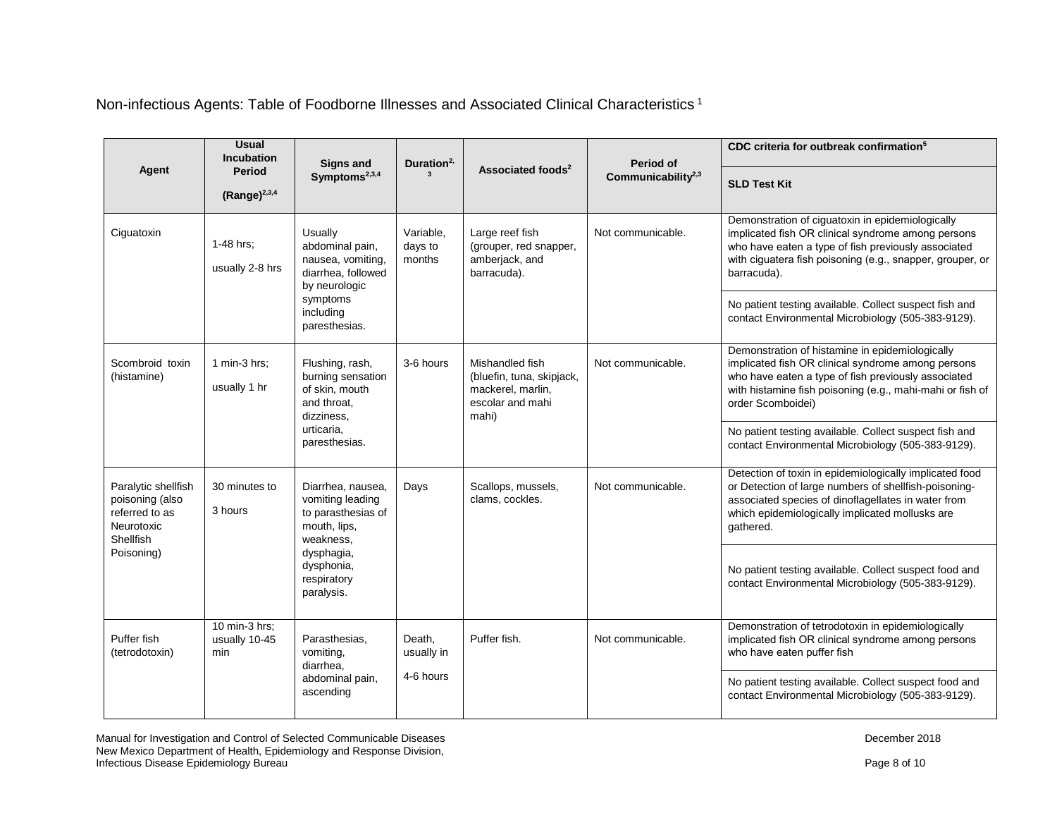Non-infectious Agents: Table of Foodborne Illnesses and Associated Clinical Characteristics <sup>1</sup>

|                                                                                     | <b>Usual</b><br><b>Incubation</b>     | Signs and                                                                                | Duration <sup>2,</sup>         |                                                                                                | Period of             | CDC criteria for outbreak confirmation <sup>5</sup>                                                                                                                                                                                            |
|-------------------------------------------------------------------------------------|---------------------------------------|------------------------------------------------------------------------------------------|--------------------------------|------------------------------------------------------------------------------------------------|-----------------------|------------------------------------------------------------------------------------------------------------------------------------------------------------------------------------------------------------------------------------------------|
| Agent                                                                               | <b>Period</b><br>(Range) $^{2,3,4}$   | Symptoms <sup>2,3,4</sup>                                                                |                                | Associated foods <sup>2</sup>                                                                  | Communicability $2,3$ | <b>SLD Test Kit</b>                                                                                                                                                                                                                            |
| Ciguatoxin                                                                          | 1-48 hrs;<br>usually 2-8 hrs          | Usually<br>abdominal pain,<br>nausea, vomiting,<br>diarrhea, followed<br>by neurologic   | Variable,<br>days to<br>months | Large reef fish<br>(grouper, red snapper,<br>amberjack, and<br>barracuda).                     | Not communicable.     | Demonstration of ciguatoxin in epidemiologically<br>implicated fish OR clinical syndrome among persons<br>who have eaten a type of fish previously associated<br>with ciguatera fish poisoning (e.g., snapper, grouper, or<br>barracuda).      |
|                                                                                     |                                       | symptoms<br>including<br>paresthesias.                                                   |                                |                                                                                                |                       | No patient testing available. Collect suspect fish and<br>contact Environmental Microbiology (505-383-9129).                                                                                                                                   |
| Scombroid toxin<br>(histamine)                                                      | 1 min-3 hrs;<br>usually 1 hr          | Flushing, rash,<br>burning sensation<br>of skin, mouth<br>and throat.<br>dizziness,      | 3-6 hours                      | Mishandled fish<br>(bluefin, tuna, skipjack,<br>mackerel, marlin,<br>escolar and mahi<br>mahi) | Not communicable.     | Demonstration of histamine in epidemiologically<br>implicated fish OR clinical syndrome among persons<br>who have eaten a type of fish previously associated<br>with histamine fish poisoning (e.g., mahi-mahi or fish of<br>order Scomboidei) |
|                                                                                     |                                       | urticaria.<br>paresthesias.                                                              |                                |                                                                                                |                       | No patient testing available. Collect suspect fish and<br>contact Environmental Microbiology (505-383-9129).                                                                                                                                   |
| Paralytic shellfish<br>poisoning (also<br>referred to as<br>Neurotoxic<br>Shellfish | 30 minutes to<br>3 hours              | Diarrhea, nausea,<br>vomiting leading<br>to parasthesias of<br>mouth, lips,<br>weakness, | Days                           | Scallops, mussels,<br>clams, cockles.                                                          | Not communicable.     | Detection of toxin in epidemiologically implicated food<br>or Detection of large numbers of shellfish-poisoning-<br>associated species of dinoflagellates in water from<br>which epidemiologically implicated mollusks are<br>gathered.        |
| Poisoning)                                                                          |                                       | dysphagia,<br>dysphonia,<br>respiratory<br>paralysis.                                    |                                |                                                                                                |                       | No patient testing available. Collect suspect food and<br>contact Environmental Microbiology (505-383-9129).                                                                                                                                   |
| Puffer fish<br>(tetrodotoxin)                                                       | 10 min-3 hrs;<br>usually 10-45<br>min | Parasthesias,<br>vomiting,<br>diarrhea,                                                  | Death,<br>usually in           | Puffer fish.                                                                                   | Not communicable.     | Demonstration of tetrodotoxin in epidemiologically<br>implicated fish OR clinical syndrome among persons<br>who have eaten puffer fish                                                                                                         |
|                                                                                     |                                       | abdominal pain,<br>ascending                                                             | 4-6 hours                      |                                                                                                |                       | No patient testing available. Collect suspect food and<br>contact Environmental Microbiology (505-383-9129).                                                                                                                                   |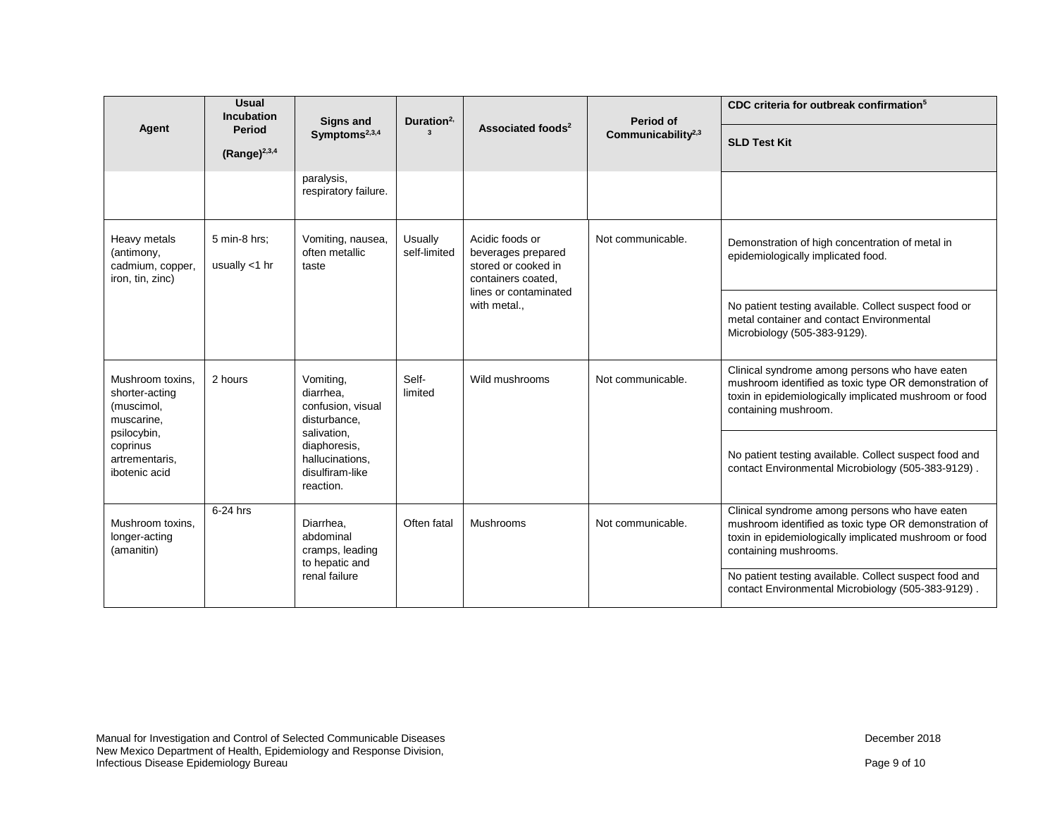|                                                                    | <b>Usual</b><br><b>Incubation</b> | <b>Signs and</b>                                                               | Duration <sup>2,</sup>  | Associated foods <sup>2</sup>                                                                                               | Period of                      | CDC criteria for outbreak confirmation <sup>5</sup>                                                                                                                                        |
|--------------------------------------------------------------------|-----------------------------------|--------------------------------------------------------------------------------|-------------------------|-----------------------------------------------------------------------------------------------------------------------------|--------------------------------|--------------------------------------------------------------------------------------------------------------------------------------------------------------------------------------------|
| Agent                                                              | Period<br>(Range) $^{2,3,4}$      | Symptoms <sup>2,3,4</sup>                                                      |                         |                                                                                                                             | Communicability <sup>2,3</sup> | <b>SLD Test Kit</b>                                                                                                                                                                        |
|                                                                    |                                   |                                                                                |                         |                                                                                                                             |                                |                                                                                                                                                                                            |
|                                                                    |                                   | paralysis,<br>respiratory failure.                                             |                         |                                                                                                                             |                                |                                                                                                                                                                                            |
| Heavy metals<br>(antimony,<br>cadmium, copper,<br>iron, tin, zinc) | 5 min-8 hrs;<br>usually $<$ 1 hr  | Vomiting, nausea,<br>often metallic<br>taste                                   | Usually<br>self-limited | Acidic foods or<br>beverages prepared<br>stored or cooked in<br>containers coated,<br>lines or contaminated<br>with metal., | Not communicable.              | Demonstration of high concentration of metal in<br>epidemiologically implicated food.                                                                                                      |
|                                                                    |                                   |                                                                                |                         |                                                                                                                             |                                | No patient testing available. Collect suspect food or<br>metal container and contact Environmental<br>Microbiology (505-383-9129).                                                         |
| Mushroom toxins.<br>shorter-acting<br>(muscimol,<br>muscarine,     | 2 hours                           | Vomiting,<br>diarrhea.<br>confusion, visual<br>disturbance,                    | Self-<br>limited        | Wild mushrooms                                                                                                              | Not communicable.              | Clinical syndrome among persons who have eaten<br>mushroom identified as toxic type OR demonstration of<br>toxin in epidemiologically implicated mushroom or food<br>containing mushroom.  |
| psilocybin,<br>coprinus<br>artrementaris,<br>ibotenic acid         |                                   | salivation,<br>diaphoresis,<br>hallucinations.<br>disulfiram-like<br>reaction. |                         |                                                                                                                             |                                | No patient testing available. Collect suspect food and<br>contact Environmental Microbiology (505-383-9129).                                                                               |
| Mushroom toxins.<br>longer-acting<br>(amanitin)                    | 6-24 hrs                          | Diarrhea.<br>abdominal<br>cramps, leading<br>to hepatic and                    | Often fatal             | Mushrooms                                                                                                                   | Not communicable.              | Clinical syndrome among persons who have eaten<br>mushroom identified as toxic type OR demonstration of<br>toxin in epidemiologically implicated mushroom or food<br>containing mushrooms. |
|                                                                    |                                   | renal failure                                                                  |                         |                                                                                                                             |                                | No patient testing available. Collect suspect food and<br>contact Environmental Microbiology (505-383-9129).                                                                               |